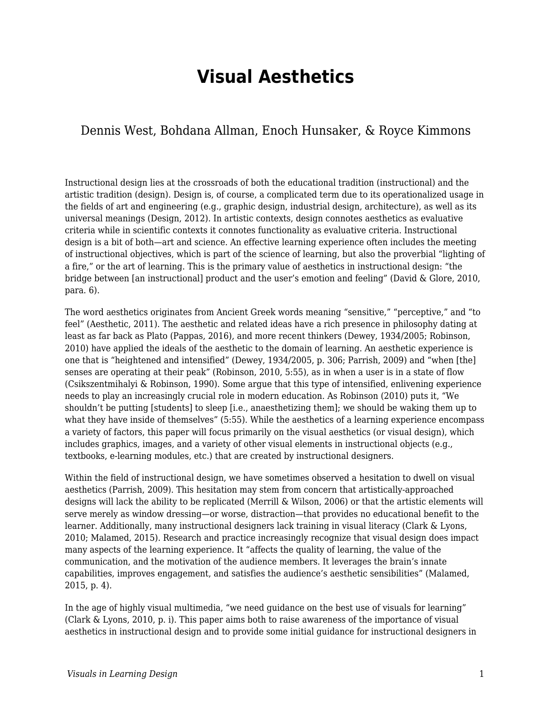# **Visual Aesthetics**

### Dennis West, Bohdana Allman, Enoch Hunsaker, & Royce Kimmons

Instructional design lies at the crossroads of both the educational tradition (instructional) and the artistic tradition (design). Design is, of course, a complicated term due to its operationalized usage in the fields of art and engineering (e.g., graphic design, industrial design, architecture), as well as its universal meanings (Design, 2012). In artistic contexts, design connotes aesthetics as evaluative criteria while in scientific contexts it connotes functionality as evaluative criteria. Instructional design is a bit of both—art and science. An effective learning experience often includes the meeting of instructional objectives, which is part of the science of learning, but also the proverbial "lighting of a fire," or the art of learning. This is the primary value of aesthetics in instructional design: "the bridge between [an instructional] product and the user's emotion and feeling" (David & Glore, 2010, para. 6).

The word aesthetics originates from Ancient Greek words meaning "sensitive," "perceptive," and "to feel" (Aesthetic, 2011). The aesthetic and related ideas have a rich presence in philosophy dating at least as far back as Plato (Pappas, 2016), and more recent thinkers (Dewey, 1934/2005; Robinson, 2010) have applied the ideals of the aesthetic to the domain of learning. An aesthetic experience is one that is "heightened and intensified" (Dewey, 1934/2005, p. 306; Parrish, 2009) and "when [the] senses are operating at their peak" (Robinson, 2010, 5:55), as in when a user is in a state of flow (Csikszentmihalyi & Robinson, 1990). Some argue that this type of intensified, enlivening experience needs to play an increasingly crucial role in modern education. As Robinson (2010) puts it, "We shouldn't be putting [students] to sleep [i.e., anaesthetizing them]; we should be waking them up to what they have inside of themselves" (5:55). While the aesthetics of a learning experience encompass a variety of factors, this paper will focus primarily on the visual aesthetics (or visual design), which includes graphics, images, and a variety of other visual elements in instructional objects (e.g., textbooks, e-learning modules, etc.) that are created by instructional designers.

Within the field of instructional design, we have sometimes observed a hesitation to dwell on visual aesthetics (Parrish, 2009). This hesitation may stem from concern that artistically-approached designs will lack the ability to be replicated (Merrill & Wilson, 2006) or that the artistic elements will serve merely as window dressing—or worse, distraction—that provides no educational benefit to the learner. Additionally, many instructional designers lack training in visual literacy (Clark & Lyons, 2010; Malamed, 2015). Research and practice increasingly recognize that visual design does impact many aspects of the learning experience. It "affects the quality of learning, the value of the communication, and the motivation of the audience members. It leverages the brain's innate capabilities, improves engagement, and satisfies the audience's aesthetic sensibilities" (Malamed, 2015, p. 4).

In the age of highly visual multimedia, "we need guidance on the best use of visuals for learning" (Clark & Lyons, 2010, p. i). This paper aims both to raise awareness of the importance of visual aesthetics in instructional design and to provide some initial guidance for instructional designers in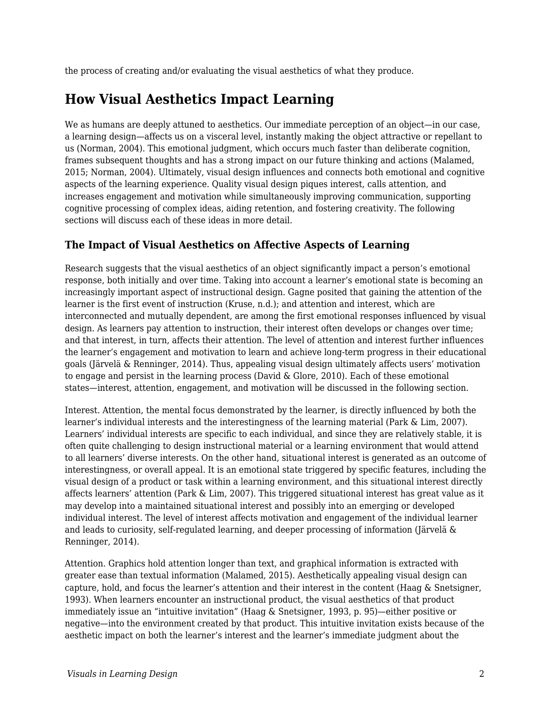the process of creating and/or evaluating the visual aesthetics of what they produce.

## **How Visual Aesthetics Impact Learning**

We as humans are deeply attuned to aesthetics. Our immediate perception of an object—in our case, a learning design—affects us on a visceral level, instantly making the object attractive or repellant to us (Norman, 2004). This emotional judgment, which occurs much faster than deliberate cognition, frames subsequent thoughts and has a strong impact on our future thinking and actions (Malamed, 2015; Norman, 2004). Ultimately, visual design influences and connects both emotional and cognitive aspects of the learning experience. Quality visual design piques interest, calls attention, and increases engagement and motivation while simultaneously improving communication, supporting cognitive processing of complex ideas, aiding retention, and fostering creativity. The following sections will discuss each of these ideas in more detail.

### **The Impact of Visual Aesthetics on Affective Aspects of Learning**

Research suggests that the visual aesthetics of an object significantly impact a person's emotional response, both initially and over time. Taking into account a learner's emotional state is becoming an increasingly important aspect of instructional design. Gagne posited that gaining the attention of the learner is the first event of instruction (Kruse, n.d.); and attention and interest, which are interconnected and mutually dependent, are among the first emotional responses influenced by visual design. As learners pay attention to instruction, their interest often develops or changes over time; and that interest, in turn, affects their attention. The level of attention and interest further influences the learner's engagement and motivation to learn and achieve long-term progress in their educational goals (Järvelä & Renninger, 2014). Thus, appealing visual design ultimately affects users' motivation to engage and persist in the learning process (David & Glore, 2010). Each of these emotional states—interest, attention, engagement, and motivation will be discussed in the following section.

Interest. Attention, the mental focus demonstrated by the learner, is directly influenced by both the learner's individual interests and the interestingness of the learning material (Park & Lim, 2007). Learners' individual interests are specific to each individual, and since they are relatively stable, it is often quite challenging to design instructional material or a learning environment that would attend to all learners' diverse interests. On the other hand, situational interest is generated as an outcome of interestingness, or overall appeal. It is an emotional state triggered by specific features, including the visual design of a product or task within a learning environment, and this situational interest directly affects learners' attention (Park & Lim, 2007). This triggered situational interest has great value as it may develop into a maintained situational interest and possibly into an emerging or developed individual interest. The level of interest affects motivation and engagement of the individual learner and leads to curiosity, self-regulated learning, and deeper processing of information (Järvelä & Renninger, 2014).

Attention. Graphics hold attention longer than text, and graphical information is extracted with greater ease than textual information (Malamed, 2015). Aesthetically appealing visual design can capture, hold, and focus the learner's attention and their interest in the content (Haag & Snetsigner, 1993). When learners encounter an instructional product, the visual aesthetics of that product immediately issue an "intuitive invitation" (Haag & Snetsigner, 1993, p. 95)—either positive or negative—into the environment created by that product. This intuitive invitation exists because of the aesthetic impact on both the learner's interest and the learner's immediate judgment about the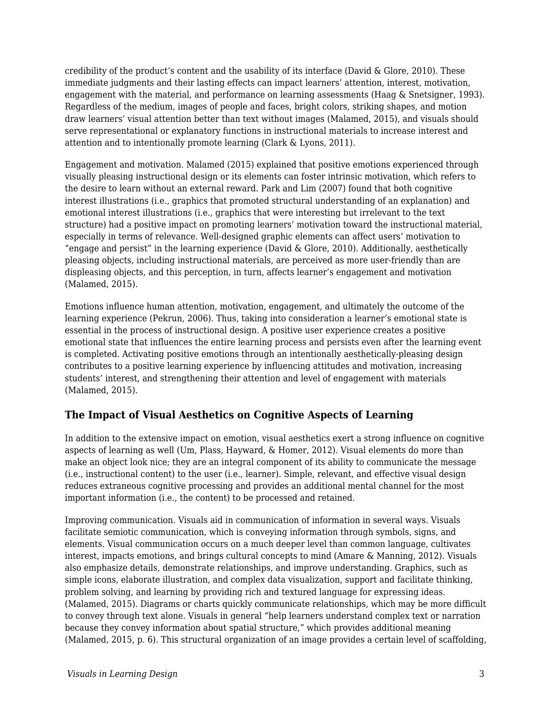credibility of the product's content and the usability of its interface (David & Glore, 2010). These immediate judgments and their lasting effects can impact learners' attention, interest, motivation, engagement with the material, and performance on learning assessments (Haag & Snetsigner, 1993). Regardless of the medium, images of people and faces, bright colors, striking shapes, and motion draw learners' visual attention better than text without images (Malamed, 2015), and visuals should serve representational or explanatory functions in instructional materials to increase interest and attention and to intentionally promote learning (Clark & Lyons, 2011).

Engagement and motivation. Malamed (2015) explained that positive emotions experienced through visually pleasing instructional design or its elements can foster intrinsic motivation, which refers to the desire to learn without an external reward. Park and Lim (2007) found that both cognitive interest illustrations (i.e., graphics that promoted structural understanding of an explanation) and emotional interest illustrations (i.e., graphics that were interesting but irrelevant to the text structure) had a positive impact on promoting learners' motivation toward the instructional material, especially in terms of relevance. Well-designed graphic elements can affect users' motivation to "engage and persist" in the learning experience (David & Glore, 2010). Additionally, aesthetically pleasing objects, including instructional materials, are perceived as more user-friendly than are displeasing objects, and this perception, in turn, affects learner's engagement and motivation (Malamed, 2015).

Emotions influence human attention, motivation, engagement, and ultimately the outcome of the learning experience (Pekrun, 2006). Thus, taking into consideration a learner's emotional state is essential in the process of instructional design. A positive user experience creates a positive emotional state that influences the entire learning process and persists even after the learning event is completed. Activating positive emotions through an intentionally aesthetically-pleasing design contributes to a positive learning experience by influencing attitudes and motivation, increasing students' interest, and strengthening their attention and level of engagement with materials (Malamed, 2015).

### **The Impact of Visual Aesthetics on Cognitive Aspects of Learning**

In addition to the extensive impact on emotion, visual aesthetics exert a strong influence on cognitive aspects of learning as well (Um, Plass, Hayward, & Homer, 2012). Visual elements do more than make an object look nice; they are an integral component of its ability to communicate the message (i.e., instructional content) to the user (i.e., learner). Simple, relevant, and effective visual design reduces extraneous cognitive processing and provides an additional mental channel for the most important information (i.e., the content) to be processed and retained.

Improving communication. Visuals aid in communication of information in several ways. Visuals facilitate semiotic communication, which is conveying information through symbols, signs, and elements. Visual communication occurs on a much deeper level than common language, cultivates interest, impacts emotions, and brings cultural concepts to mind (Amare & Manning, 2012). Visuals also emphasize details, demonstrate relationships, and improve understanding. Graphics, such as simple icons, elaborate illustration, and complex data visualization, support and facilitate thinking, problem solving, and learning by providing rich and textured language for expressing ideas. (Malamed, 2015). Diagrams or charts quickly communicate relationships, which may be more difficult to convey through text alone. Visuals in general "help learners understand complex text or narration because they convey information about spatial structure," which provides additional meaning (Malamed, 2015, p. 6). This structural organization of an image provides a certain level of scaffolding,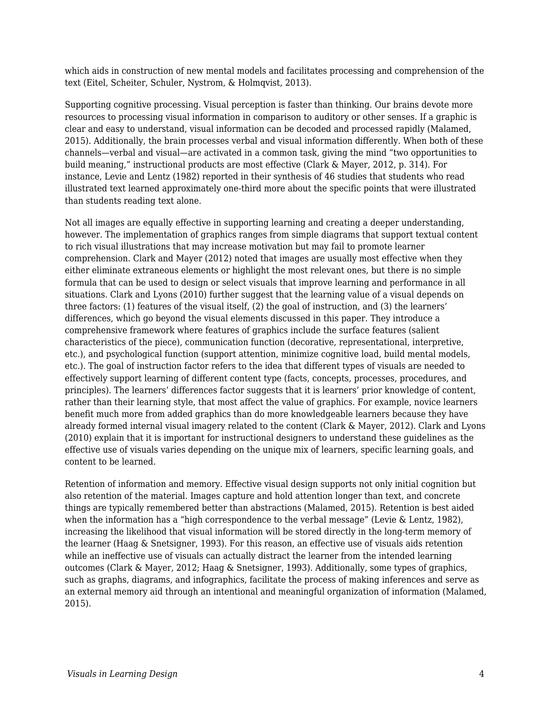which aids in construction of new mental models and facilitates processing and comprehension of the text (Eitel, Scheiter, Schuler, Nystrom, & Holmqvist, 2013).

Supporting cognitive processing. Visual perception is faster than thinking. Our brains devote more resources to processing visual information in comparison to auditory or other senses. If a graphic is clear and easy to understand, visual information can be decoded and processed rapidly (Malamed, 2015). Additionally, the brain processes verbal and visual information differently. When both of these channels—verbal and visual—are activated in a common task, giving the mind "two opportunities to build meaning," instructional products are most effective (Clark & Mayer, 2012, p. 314). For instance, Levie and Lentz (1982) reported in their synthesis of 46 studies that students who read illustrated text learned approximately one-third more about the specific points that were illustrated than students reading text alone.

Not all images are equally effective in supporting learning and creating a deeper understanding, however. The implementation of graphics ranges from simple diagrams that support textual content to rich visual illustrations that may increase motivation but may fail to promote learner comprehension. Clark and Mayer (2012) noted that images are usually most effective when they either eliminate extraneous elements or highlight the most relevant ones, but there is no simple formula that can be used to design or select visuals that improve learning and performance in all situations. Clark and Lyons (2010) further suggest that the learning value of a visual depends on three factors: (1) features of the visual itself, (2) the goal of instruction, and (3) the learners' differences, which go beyond the visual elements discussed in this paper. They introduce a comprehensive framework where features of graphics include the surface features (salient characteristics of the piece), communication function (decorative, representational, interpretive, etc.), and psychological function (support attention, minimize cognitive load, build mental models, etc.). The goal of instruction factor refers to the idea that different types of visuals are needed to effectively support learning of different content type (facts, concepts, processes, procedures, and principles). The learners' differences factor suggests that it is learners' prior knowledge of content, rather than their learning style, that most affect the value of graphics. For example, novice learners benefit much more from added graphics than do more knowledgeable learners because they have already formed internal visual imagery related to the content (Clark & Mayer, 2012). Clark and Lyons (2010) explain that it is important for instructional designers to understand these guidelines as the effective use of visuals varies depending on the unique mix of learners, specific learning goals, and content to be learned.

Retention of information and memory. Effective visual design supports not only initial cognition but also retention of the material. Images capture and hold attention longer than text, and concrete things are typically remembered better than abstractions (Malamed, 2015). Retention is best aided when the information has a "high correspondence to the verbal message" (Levie & Lentz, 1982), increasing the likelihood that visual information will be stored directly in the long-term memory of the learner (Haag & Snetsigner, 1993). For this reason, an effective use of visuals aids retention while an ineffective use of visuals can actually distract the learner from the intended learning outcomes (Clark & Mayer, 2012; Haag & Snetsigner, 1993). Additionally, some types of graphics, such as graphs, diagrams, and infographics, facilitate the process of making inferences and serve as an external memory aid through an intentional and meaningful organization of information (Malamed, 2015).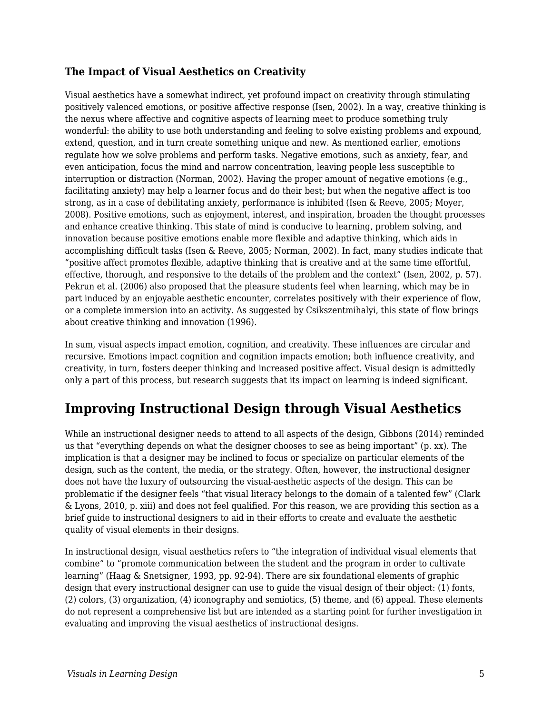### **The Impact of Visual Aesthetics on Creativity**

Visual aesthetics have a somewhat indirect, yet profound impact on creativity through stimulating positively valenced emotions, or positive affective response (Isen, 2002). In a way, creative thinking is the nexus where affective and cognitive aspects of learning meet to produce something truly wonderful: the ability to use both understanding and feeling to solve existing problems and expound, extend, question, and in turn create something unique and new. As mentioned earlier, emotions regulate how we solve problems and perform tasks. Negative emotions, such as anxiety, fear, and even anticipation, focus the mind and narrow concentration, leaving people less susceptible to interruption or distraction (Norman, 2002). Having the proper amount of negative emotions (e.g., facilitating anxiety) may help a learner focus and do their best; but when the negative affect is too strong, as in a case of debilitating anxiety, performance is inhibited (Isen & Reeve, 2005; Moyer, 2008). Positive emotions, such as enjoyment, interest, and inspiration, broaden the thought processes and enhance creative thinking. This state of mind is conducive to learning, problem solving, and innovation because positive emotions enable more flexible and adaptive thinking, which aids in accomplishing difficult tasks (Isen & Reeve, 2005; Norman, 2002). In fact, many studies indicate that "positive affect promotes flexible, adaptive thinking that is creative and at the same time effortful, effective, thorough, and responsive to the details of the problem and the context" (Isen, 2002, p. 57). Pekrun et al. (2006) also proposed that the pleasure students feel when learning, which may be in part induced by an enjoyable aesthetic encounter, correlates positively with their experience of flow, or a complete immersion into an activity. As suggested by Csikszentmihalyi, this state of flow brings about creative thinking and innovation (1996).

In sum, visual aspects impact emotion, cognition, and creativity. These influences are circular and recursive. Emotions impact cognition and cognition impacts emotion; both influence creativity, and creativity, in turn, fosters deeper thinking and increased positive affect. Visual design is admittedly only a part of this process, but research suggests that its impact on learning is indeed significant.

# **Improving Instructional Design through Visual Aesthetics**

While an instructional designer needs to attend to all aspects of the design, Gibbons (2014) reminded us that "everything depends on what the designer chooses to see as being important" (p. xx). The implication is that a designer may be inclined to focus or specialize on particular elements of the design, such as the content, the media, or the strategy. Often, however, the instructional designer does not have the luxury of outsourcing the visual-aesthetic aspects of the design. This can be problematic if the designer feels "that visual literacy belongs to the domain of a talented few" (Clark & Lyons, 2010, p. xiii) and does not feel qualified. For this reason, we are providing this section as a brief guide to instructional designers to aid in their efforts to create and evaluate the aesthetic quality of visual elements in their designs.

In instructional design, visual aesthetics refers to "the integration of individual visual elements that combine" to "promote communication between the student and the program in order to cultivate learning" (Haag & Snetsigner, 1993, pp. 92-94). There are six foundational elements of graphic design that every instructional designer can use to guide the visual design of their object: (1) fonts, (2) colors, (3) organization, (4) iconography and semiotics, (5) theme, and (6) appeal. These elements do not represent a comprehensive list but are intended as a starting point for further investigation in evaluating and improving the visual aesthetics of instructional designs.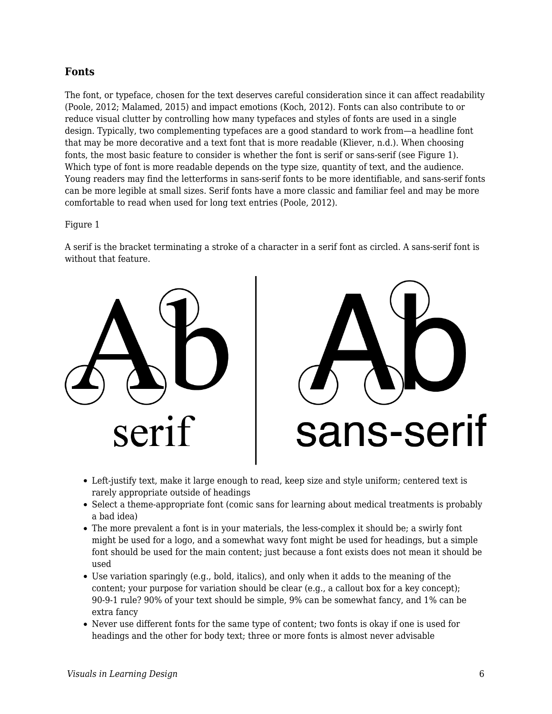#### **Fonts**

The font, or typeface, chosen for the text deserves careful consideration since it can affect readability (Poole, 2012; Malamed, 2015) and impact emotions (Koch, 2012). Fonts can also contribute to or reduce visual clutter by controlling how many typefaces and styles of fonts are used in a single design. Typically, two complementing typefaces are a good standard to work from—a headline font that may be more decorative and a text font that is more readable (Kliever, n.d.). When choosing fonts, the most basic feature to consider is whether the font is serif or sans-serif (see Figure 1). Which type of font is more readable depends on the type size, quantity of text, and the audience. Young readers may find the letterforms in sans-serif fonts to be more identifiable, and sans-serif fonts can be more legible at small sizes. Serif fonts have a more classic and familiar feel and may be more comfortable to read when used for long text entries (Poole, 2012).

#### Figure 1

A serif is the bracket terminating a stroke of a character in a serif font as circled. A sans-serif font is without that feature.





- Left-justify text, make it large enough to read, keep size and style uniform; centered text is rarely appropriate outside of headings
- Select a theme-appropriate font (comic sans for learning about medical treatments is probably a bad idea)
- The more prevalent a font is in your materials, the less-complex it should be; a swirly font might be used for a logo, and a somewhat wavy font might be used for headings, but a simple font should be used for the main content; just because a font exists does not mean it should be used
- Use variation sparingly (e.g., bold, italics), and only when it adds to the meaning of the content; your purpose for variation should be clear (e.g., a callout box for a key concept); 90-9-1 rule? 90% of your text should be simple, 9% can be somewhat fancy, and 1% can be extra fancy
- Never use different fonts for the same type of content; two fonts is okay if one is used for headings and the other for body text; three or more fonts is almost never advisable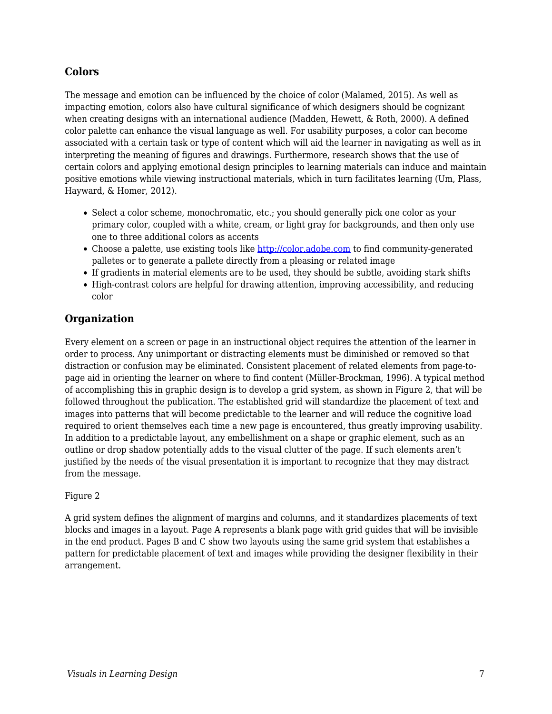### **Colors**

The message and emotion can be influenced by the choice of color (Malamed, 2015). As well as impacting emotion, colors also have cultural significance of which designers should be cognizant when creating designs with an international audience (Madden, Hewett, & Roth, 2000). A defined color palette can enhance the visual language as well. For usability purposes, a color can become associated with a certain task or type of content which will aid the learner in navigating as well as in interpreting the meaning of figures and drawings. Furthermore, research shows that the use of certain colors and applying emotional design principles to learning materials can induce and maintain positive emotions while viewing instructional materials, which in turn facilitates learning (Um, Plass, Hayward, & Homer, 2012).

- Select a color scheme, monochromatic, etc.; you should generally pick one color as your primary color, coupled with a white, cream, or light gray for backgrounds, and then only use one to three additional colors as accents
- Choose a palette, use existing tools like <http://color.adobe.com>to find community-generated palletes or to generate a pallete directly from a pleasing or related image
- If gradients in material elements are to be used, they should be subtle, avoiding stark shifts
- High-contrast colors are helpful for drawing attention, improving accessibility, and reducing color

### **Organization**

Every element on a screen or page in an instructional object requires the attention of the learner in order to process. Any unimportant or distracting elements must be diminished or removed so that distraction or confusion may be eliminated. Consistent placement of related elements from page-topage aid in orienting the learner on where to find content (Müller-Brockman, 1996). A typical method of accomplishing this in graphic design is to develop a grid system, as shown in Figure 2, that will be followed throughout the publication. The established grid will standardize the placement of text and images into patterns that will become predictable to the learner and will reduce the cognitive load required to orient themselves each time a new page is encountered, thus greatly improving usability. In addition to a predictable layout, any embellishment on a shape or graphic element, such as an outline or drop shadow potentially adds to the visual clutter of the page. If such elements aren't justified by the needs of the visual presentation it is important to recognize that they may distract from the message.

#### Figure 2

A grid system defines the alignment of margins and columns, and it standardizes placements of text blocks and images in a layout. Page A represents a blank page with grid guides that will be invisible in the end product. Pages B and C show two layouts using the same grid system that establishes a pattern for predictable placement of text and images while providing the designer flexibility in their arrangement.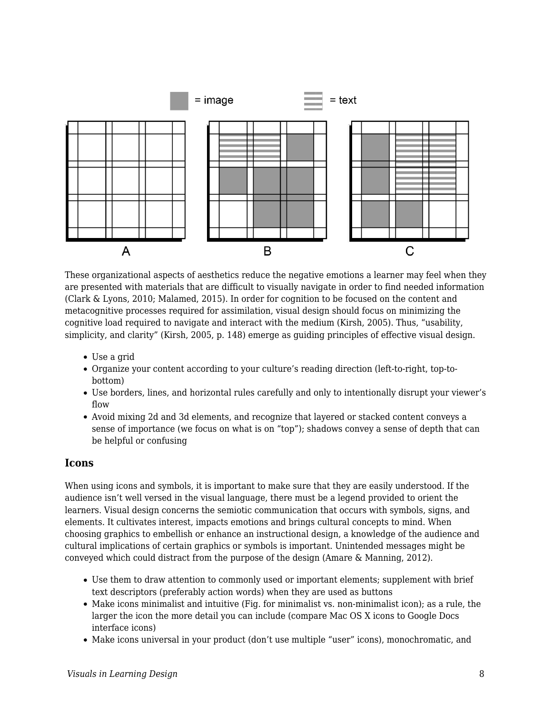

These organizational aspects of aesthetics reduce the negative emotions a learner may feel when they are presented with materials that are difficult to visually navigate in order to find needed information (Clark & Lyons, 2010; Malamed, 2015). In order for cognition to be focused on the content and metacognitive processes required for assimilation, visual design should focus on minimizing the cognitive load required to navigate and interact with the medium (Kirsh, 2005). Thus, "usability, simplicity, and clarity" (Kirsh, 2005, p. 148) emerge as guiding principles of effective visual design.

- Use a grid
- Organize your content according to your culture's reading direction (left-to-right, top-tobottom)
- Use borders, lines, and horizontal rules carefully and only to intentionally disrupt your viewer's flow
- Avoid mixing 2d and 3d elements, and recognize that layered or stacked content conveys a sense of importance (we focus on what is on "top"); shadows convey a sense of depth that can be helpful or confusing

#### **Icons**

When using icons and symbols, it is important to make sure that they are easily understood. If the audience isn't well versed in the visual language, there must be a legend provided to orient the learners. Visual design concerns the semiotic communication that occurs with symbols, signs, and elements. It cultivates interest, impacts emotions and brings cultural concepts to mind. When choosing graphics to embellish or enhance an instructional design, a knowledge of the audience and cultural implications of certain graphics or symbols is important. Unintended messages might be conveyed which could distract from the purpose of the design (Amare & Manning, 2012).

- Use them to draw attention to commonly used or important elements; supplement with brief text descriptors (preferably action words) when they are used as buttons
- Make icons minimalist and intuitive (Fig. for minimalist vs. non-minimalist icon); as a rule, the larger the icon the more detail you can include (compare Mac OS X icons to Google Docs interface icons)
- Make icons universal in your product (don't use multiple "user" icons), monochromatic, and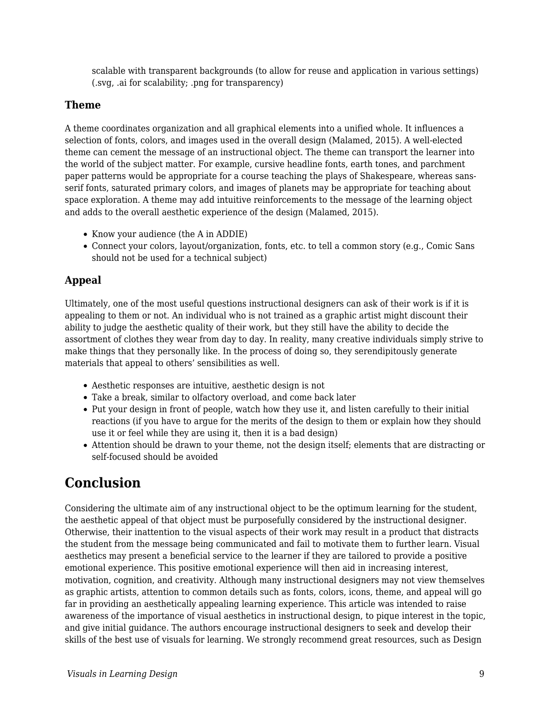scalable with transparent backgrounds (to allow for reuse and application in various settings) (.svg, .ai for scalability; .png for transparency)

### **Theme**

A theme coordinates organization and all graphical elements into a unified whole. It influences a selection of fonts, colors, and images used in the overall design (Malamed, 2015). A well-elected theme can cement the message of an instructional object. The theme can transport the learner into the world of the subject matter. For example, cursive headline fonts, earth tones, and parchment paper patterns would be appropriate for a course teaching the plays of Shakespeare, whereas sansserif fonts, saturated primary colors, and images of planets may be appropriate for teaching about space exploration. A theme may add intuitive reinforcements to the message of the learning object and adds to the overall aesthetic experience of the design (Malamed, 2015).

- Know your audience (the A in ADDIE)
- Connect your colors, layout/organization, fonts, etc. to tell a common story (e.g., Comic Sans should not be used for a technical subject)

### **Appeal**

Ultimately, one of the most useful questions instructional designers can ask of their work is if it is appealing to them or not. An individual who is not trained as a graphic artist might discount their ability to judge the aesthetic quality of their work, but they still have the ability to decide the assortment of clothes they wear from day to day. In reality, many creative individuals simply strive to make things that they personally like. In the process of doing so, they serendipitously generate materials that appeal to others' sensibilities as well.

- Aesthetic responses are intuitive, aesthetic design is not
- Take a break, similar to olfactory overload, and come back later
- Put your design in front of people, watch how they use it, and listen carefully to their initial reactions (if you have to argue for the merits of the design to them or explain how they should use it or feel while they are using it, then it is a bad design)
- Attention should be drawn to your theme, not the design itself; elements that are distracting or self-focused should be avoided

# **Conclusion**

Considering the ultimate aim of any instructional object to be the optimum learning for the student, the aesthetic appeal of that object must be purposefully considered by the instructional designer. Otherwise, their inattention to the visual aspects of their work may result in a product that distracts the student from the message being communicated and fail to motivate them to further learn. Visual aesthetics may present a beneficial service to the learner if they are tailored to provide a positive emotional experience. This positive emotional experience will then aid in increasing interest, motivation, cognition, and creativity. Although many instructional designers may not view themselves as graphic artists, attention to common details such as fonts, colors, icons, theme, and appeal will go far in providing an aesthetically appealing learning experience. This article was intended to raise awareness of the importance of visual aesthetics in instructional design, to pique interest in the topic, and give initial guidance. The authors encourage instructional designers to seek and develop their skills of the best use of visuals for learning. We strongly recommend great resources, such as Design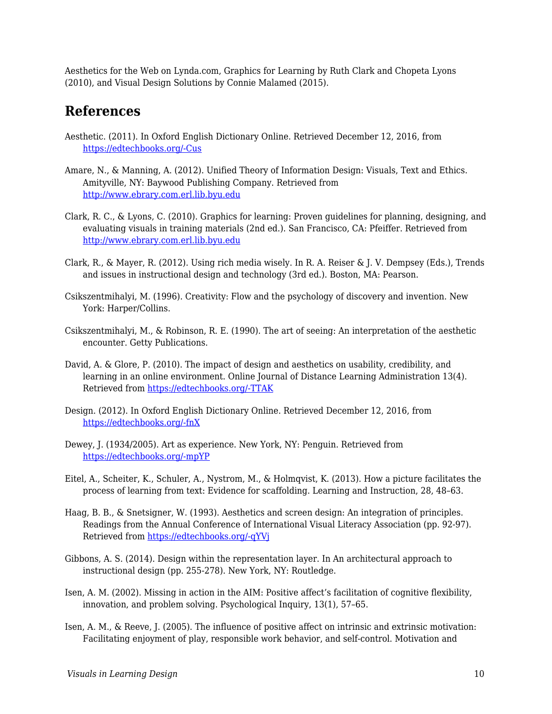Aesthetics for the Web on Lynda.com, Graphics for Learning by Ruth Clark and Chopeta Lyons (2010), and Visual Design Solutions by Connie Malamed (2015).

### **References**

- Aesthetic. (2011). In Oxford English Dictionary Online. Retrieved December 12, 2016, from [https://edtechbooks.org/-Cus](http://www.oed.com.erl.lib.byu.edu/view/Entry/3237?redirectedFrom=aesthetic#eid)
- Amare, N., & Manning, A. (2012). Unified Theory of Information Design: Visuals, Text and Ethics. Amityville, NY: Baywood Publishing Company. Retrieved from <http://www.ebrary.com.erl.lib.byu.edu>
- Clark, R. C., & Lyons, C. (2010). Graphics for learning: Proven guidelines for planning, designing, and evaluating visuals in training materials (2nd ed.). San Francisco, CA: Pfeiffer. Retrieved from <http://www.ebrary.com.erl.lib.byu.edu>
- Clark, R., & Mayer, R. (2012). Using rich media wisely. In R. A. Reiser & J. V. Dempsey (Eds.), Trends and issues in instructional design and technology (3rd ed.). Boston, MA: Pearson.
- Csikszentmihalyi, M. (1996). Creativity: Flow and the psychology of discovery and invention. New York: Harper/Collins.
- Csikszentmihalyi, M., & Robinson, R. E. (1990). The art of seeing: An interpretation of the aesthetic encounter. Getty Publications.
- David, A. & Glore, P. (2010). The impact of design and aesthetics on usability, credibility, and learning in an online environment. Online Journal of Distance Learning Administration 13(4). Retrieved from [https://edtechbooks.org/-TTAK](http://www.westga.edu/~distance/ojdla/winter134/david_glore134.html)
- Design. (2012). In Oxford English Dictionary Online. Retrieved December 12, 2016, from [https://edtechbooks.org/-fnX](http://www.oed.com.erl.lib.byu.edu/view/Entry/50840?rskey=6ljDD9&result=1&isAdvanced=false#eid)
- Dewey, J. (1934/2005). Art as experience. New York, NY: Penguin. Retrieved from [https://edtechbooks.org/-mpYP](https://books.google.com/books?id=aAbqAGo5MwwC&pg=PP3&source=gbs_selected_pages&cad=3#v=onepage&q&f=false)
- Eitel, A., Scheiter, K., Schuler, A., Nystrom, M., & Holmqvist, K. (2013). How a picture facilitates the process of learning from text: Evidence for scaffolding. Learning and Instruction, 28, 48–63.
- Haag, B. B., & Snetsigner, W. (1993). Aesthetics and screen design: An integration of principles. Readings from the Annual Conference of International Visual Literacy Association (pp. 92-97). Retrieved from [https://edtechbooks.org/-qYVj](http://files.eric.ed.gov/fulltext/ED370558.pdf)
- Gibbons, A. S. (2014). Design within the representation layer. In An architectural approach to instructional design (pp. 255-278). New York, NY: Routledge.
- Isen, A. M. (2002). Missing in action in the AIM: Positive affect's facilitation of cognitive flexibility, innovation, and problem solving. Psychological Inquiry, 13(1), 57–65.
- Isen, A. M., & Reeve, J. (2005). The influence of positive affect on intrinsic and extrinsic motivation: Facilitating enjoyment of play, responsible work behavior, and self-control. Motivation and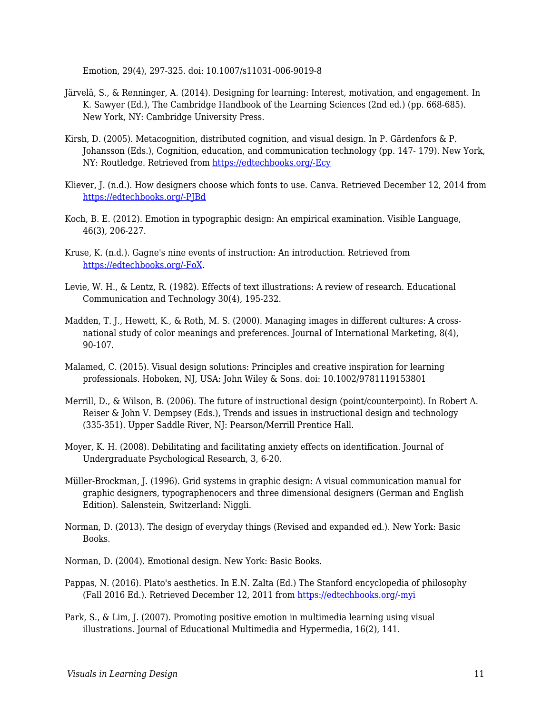Emotion, 29(4), 297-325. doi: 10.1007/s11031-006-9019-8

- Järvelä, S., & Renninger, A. (2014). Designing for learning: Interest, motivation, and engagement. In K. Sawyer (Ed.), The Cambridge Handbook of the Learning Sciences (2nd ed.) (pp. 668-685). New York, NY: Cambridge University Press.
- Kirsh, D. (2005). Metacognition, distributed cognition, and visual design. In P. Gärdenfors & P. Johansson (Eds.), Cognition, education, and communication technology (pp. 147- 179). New York, NY: Routledge. Retrieved from [https://edtechbooks.org/-Ecy](https://books.google.com/books?id=Za2PAgAAQBAJ&printsec=frontcover&source=gbs_ge_summary_r&cad=0#v=onepage&q&f=false)
- Kliever, J. (n.d.). How designers choose which fonts to use. Canva. Retrieved December 12, 2014 from [https://edtechbooks.org/-PJBd](https://designschool.canva.com/font-design/)
- Koch, B. E. (2012). Emotion in typographic design: An empirical examination. Visible Language, 46(3), 206-227.
- Kruse, K. (n.d.). Gagne's nine events of instruction: An introduction. Retrieved from [https://edtechbooks.org/-FoX](http://www.transformativedesigns.com/gagnes.html).
- Levie, W. H., & Lentz, R. (1982). Effects of text illustrations: A review of research. Educational Communication and Technology 30(4), 195-232.
- Madden, T. J., Hewett, K., & Roth, M. S. (2000). Managing images in different cultures: A crossnational study of color meanings and preferences. Journal of International Marketing, 8(4), 90-107.
- Malamed, C. (2015). Visual design solutions: Principles and creative inspiration for learning professionals. Hoboken, NJ, USA: John Wiley & Sons. doi: 10.1002/9781119153801
- Merrill, D., & Wilson, B. (2006). The future of instructional design (point/counterpoint). In Robert A. Reiser & John V. Dempsey (Eds.), Trends and issues in instructional design and technology (335-351). Upper Saddle River, NJ: Pearson/Merrill Prentice Hall.
- Moyer, K. H. (2008). Debilitating and facilitating anxiety effects on identification. Journal of Undergraduate Psychological Research, 3, 6-20.
- Müller-Brockman, J. (1996). Grid systems in graphic design: A visual communication manual for graphic designers, typographenocers and three dimensional designers (German and English Edition). Salenstein, Switzerland: Niggli.
- Norman, D. (2013). The design of everyday things (Revised and expanded ed.). New York: Basic Books.
- Norman, D. (2004). Emotional design. New York: Basic Books.
- Pappas, N. (2016). Plato's aesthetics. In E.N. Zalta (Ed.) The Stanford encyclopedia of philosophy (Fall 2016 Ed.). Retrieved December 12, 2011 from [https://edtechbooks.org/-myi](https://plato.stanford.edu/archives/fall2016/entries/plato-aesthetics/)
- Park, S., & Lim, J. (2007). Promoting positive emotion in multimedia learning using visual illustrations. Journal of Educational Multimedia and Hypermedia, 16(2), 141.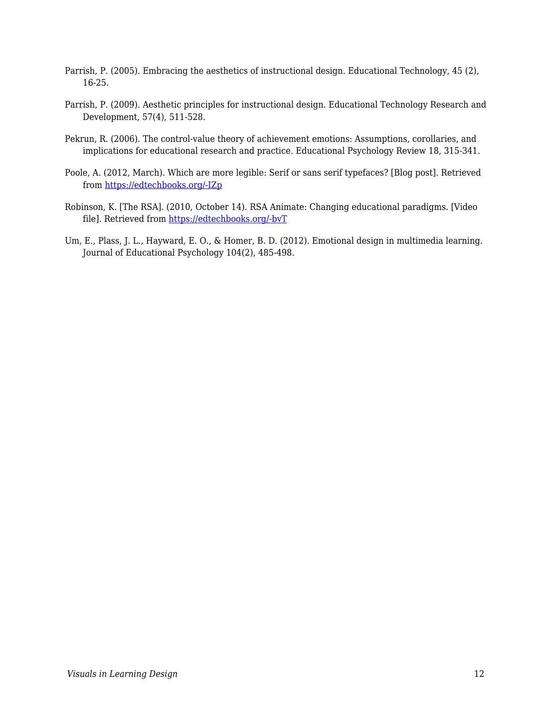- Parrish, P. (2005). Embracing the aesthetics of instructional design. Educational Technology, 45 (2), 16-25.
- Parrish, P. (2009). Aesthetic principles for instructional design. Educational Technology Research and Development, 57(4), 511-528.
- Pekrun, R. (2006). The control-value theory of achievement emotions: Assumptions, corollaries, and implications for educational research and practice. Educational Psychology Review 18, 315-341.
- Poole, A. (2012, March). Which are more legible: Serif or sans serif typefaces? [Blog post]. Retrieved from [https://edtechbooks.org/-IZp](http://alexpoole.info/blog/which-are-more-legible-serif-or-sans-serif-typefaces/)
- Robinson, K. [The RSA]. (2010, October 14). RSA Animate: Changing educational paradigms. [Video file]. Retrieved from [https://edtechbooks.org/-bvT](https://www.youtube.com/watch?v=zDZFcDGpL4U)
- Um, E., Plass, J. L., Hayward, E. O., & Homer, B. D. (2012). Emotional design in multimedia learning. Journal of Educational Psychology 104(2), 485-498.